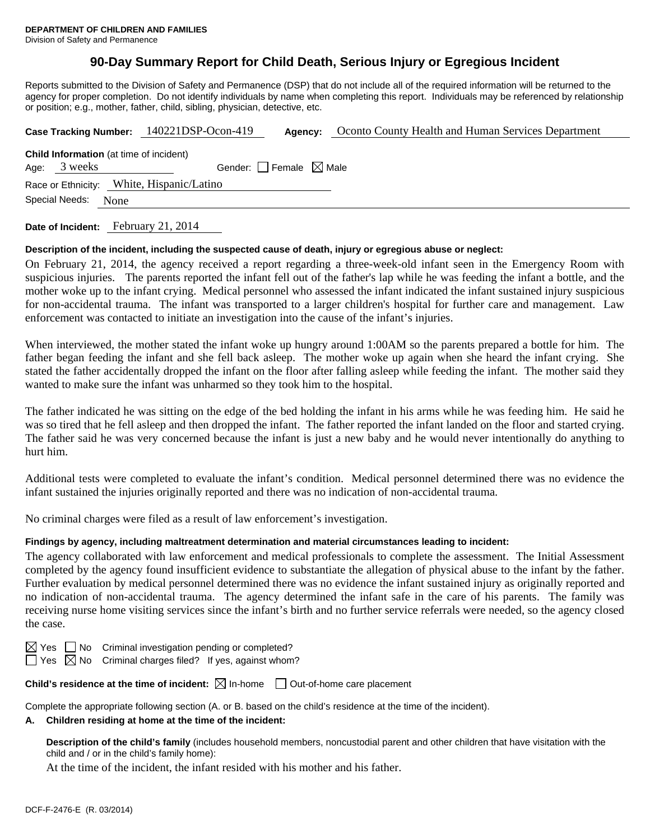## **90-Day Summary Report for Child Death, Serious Injury or Egregious Incident**

Reports submitted to the Division of Safety and Permanence (DSP) that do not include all of the required information will be returned to the agency for proper completion. Do not identify individuals by name when completing this report. Individuals may be referenced by relationship or position; e.g., mother, father, child, sibling, physician, detective, etc.

|                                                                     | Case Tracking Number: 140221DSP-Ocon-419 | Agency:                         | Oconto County Health and Human Services Department |  |  |  |  |
|---------------------------------------------------------------------|------------------------------------------|---------------------------------|----------------------------------------------------|--|--|--|--|
| <b>Child Information</b> (at time of incident)<br>Age: 3 weeks      |                                          | Gender: Female $\boxtimes$ Male |                                                    |  |  |  |  |
| Race or Ethnicity: White, Hispanic/Latino<br>Special Needs:<br>None |                                          |                                 |                                                    |  |  |  |  |
|                                                                     |                                          |                                 |                                                    |  |  |  |  |

**Date of Incident:** February 21, 2014

#### **Description of the incident, including the suspected cause of death, injury or egregious abuse or neglect:**

On February 21, 2014, the agency received a report regarding a three-week-old infant seen in the Emergency Room with suspicious injuries. The parents reported the infant fell out of the father's lap while he was feeding the infant a bottle, and the mother woke up to the infant crying. Medical personnel who assessed the infant indicated the infant sustained injury suspicious for non-accidental trauma. The infant was transported to a larger children's hospital for further care and management. Law enforcement was contacted to initiate an investigation into the cause of the infant's injuries.

When interviewed, the mother stated the infant woke up hungry around 1:00AM so the parents prepared a bottle for him. The father began feeding the infant and she fell back asleep. The mother woke up again when she heard the infant crying. She stated the father accidentally dropped the infant on the floor after falling asleep while feeding the infant. The mother said they wanted to make sure the infant was unharmed so they took him to the hospital.

The father indicated he was sitting on the edge of the bed holding the infant in his arms while he was feeding him. He said he was so tired that he fell asleep and then dropped the infant. The father reported the infant landed on the floor and started crying. The father said he was very concerned because the infant is just a new baby and he would never intentionally do anything to hurt him.

Additional tests were completed to evaluate the infant's condition. Medical personnel determined there was no evidence the infant sustained the injuries originally reported and there was no indication of non-accidental trauma.

No criminal charges were filed as a result of law enforcement's investigation.

## **Findings by agency, including maltreatment determination and material circumstances leading to incident:**

The agency collaborated with law enforcement and medical professionals to complete the assessment. The Initial Assessment completed by the agency found insufficient evidence to substantiate the allegation of physical abuse to the infant by the father. Further evaluation by medical personnel determined there was no evidence the infant sustained injury as originally reported and no indication of non-accidental trauma. The agency determined the infant safe in the care of his parents. The family was receiving nurse home visiting services since the infant's birth and no further service referrals were needed, so the agency closed the case.

| ∽ |  |
|---|--|
|   |  |

No Criminal investigation pending or completed?

Yes  $\boxtimes$  No Criminal charges filed? If yes, against whom?

**Child's residence at the time of incident:**  $\boxtimes$  In-home  $\Box$  Out-of-home care placement

Complete the appropriate following section (A. or B. based on the child's residence at the time of the incident).

#### **A. Children residing at home at the time of the incident:**

**Description of the child's family** (includes household members, noncustodial parent and other children that have visitation with the child and / or in the child's family home):

At the time of the incident, the infant resided with his mother and his father.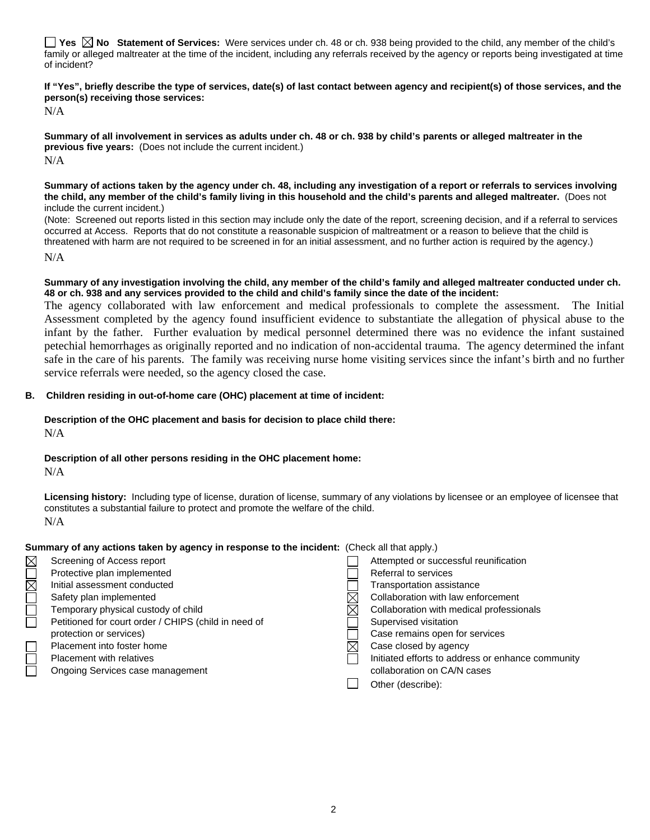**Yes No Statement of Services:** Were services under ch. 48 or ch. 938 being provided to the child, any member of the child's family or alleged maltreater at the time of the incident, including any referrals received by the agency or reports being investigated at time of incident?

**If "Yes", briefly describe the type of services, date(s) of last contact between agency and recipient(s) of those services, and the person(s) receiving those services:** 

N/A

**Summary of all involvement in services as adults under ch. 48 or ch. 938 by child's parents or alleged maltreater in the previous five years:** (Does not include the current incident.) N/A

**Summary of actions taken by the agency under ch. 48, including any investigation of a report or referrals to services involving the child, any member of the child's family living in this household and the child's parents and alleged maltreater.** (Does not include the current incident.)

(Note: Screened out reports listed in this section may include only the date of the report, screening decision, and if a referral to services occurred at Access. Reports that do not constitute a reasonable suspicion of maltreatment or a reason to believe that the child is threatened with harm are not required to be screened in for an initial assessment, and no further action is required by the agency.)

N/A

**Summary of any investigation involving the child, any member of the child's family and alleged maltreater conducted under ch. 48 or ch. 938 and any services provided to the child and child's family since the date of the incident:** 

The agency collaborated with law enforcement and medical professionals to complete the assessment. The Initial Assessment completed by the agency found insufficient evidence to substantiate the allegation of physical abuse to the infant by the father. Further evaluation by medical personnel determined there was no evidence the infant sustained petechial hemorrhages as originally reported and no indication of non-accidental trauma. The agency determined the infant safe in the care of his parents. The family was receiving nurse home visiting services since the infant's birth and no further service referrals were needed, so the agency closed the case.

## **B. Children residing in out-of-home care (OHC) placement at time of incident:**

# **Description of the OHC placement and basis for decision to place child there:**

N/A

## **Description of all other persons residing in the OHC placement home:**

N/A

**Licensing history:** Including type of license, duration of license, summary of any violations by licensee or an employee of licensee that constitutes a substantial failure to protect and promote the welfare of the child. N/A

## **Summary of any actions taken by agency in response to the incident:** (Check all that apply.)

|            | Screening of Access report                           | Attempted or successful reunification             |
|------------|------------------------------------------------------|---------------------------------------------------|
|            | Protective plan implemented                          | Referral to services                              |
| <b>NOM</b> | Initial assessment conducted                         | Transportation assistance                         |
|            | Safety plan implemented                              | Collaboration with law enforcement                |
|            | Temporary physical custody of child                  | Collaboration with medical professionals          |
|            | Petitioned for court order / CHIPS (child in need of | Supervised visitation                             |
|            | protection or services)                              | Case remains open for services                    |
|            | Placement into foster home                           | Case closed by agency                             |
|            | Placement with relatives                             | Initiated efforts to address or enhance community |
|            | Ongoing Services case management                     | collaboration on CA/N cases                       |
|            |                                                      | Other (describe):                                 |
|            |                                                      |                                                   |